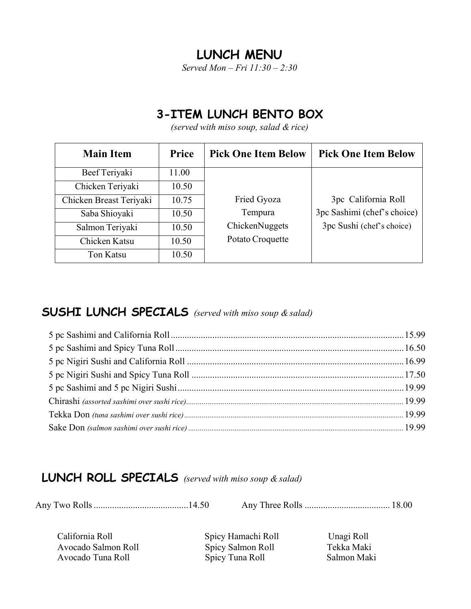## **LUNCH MENU**

*Served Mon – Fri 11:30 – 2:30*

#### **3-ITEM LUNCH BENTO BOX**

*(served with miso soup, salad & rice)*

| <b>Main Item</b>        | Price | <b>Pick One Item Below</b> | <b>Pick One Item Below</b>  |
|-------------------------|-------|----------------------------|-----------------------------|
| Beef Teriyaki           | 11.00 |                            |                             |
| Chicken Teriyaki        | 10.50 |                            |                             |
| Chicken Breast Teriyaki | 10.75 | Fried Gyoza                | 3pc California Roll         |
| Saba Shioyaki           | 10.50 | Tempura                    | 3pc Sashimi (chef's choice) |
| Salmon Teriyaki         | 10.50 | ChickenNuggets             | 3pc Sushi (chef's choice)   |
| Chicken Katsu           | 10.50 | Potato Croquette           |                             |
| Ton Katsu               | 10.50 |                            |                             |

#### **SUSHI LUNCH SPECIALS** *(served with miso soup & salad)*

#### **LUNCH ROLL SPECIALS** *(served with miso soup & salad)*

|--|--|--|

Avocado Salmon Roll Spicy Salmon Roll Tekka Maki<br>Avocado Tuna Roll Spicy Tuna Roll Salmon Mak Avocado Tuna Roll Spicy Tuna Roll Salmon Maki

California Roll Spicy Hamachi Roll Unagi Roll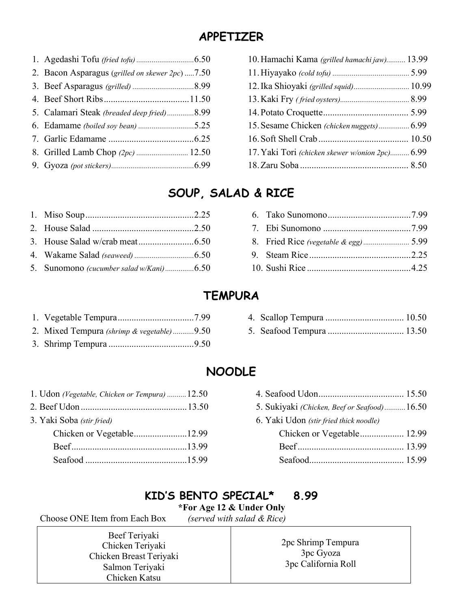#### **APPETIZER**

| 2. Bacon Asparagus (grilled on skewer 2pc)  7.50 |  |
|--------------------------------------------------|--|
|                                                  |  |
|                                                  |  |
| 5. Calamari Steak (breaded deep fried)8.99       |  |
|                                                  |  |
|                                                  |  |
|                                                  |  |
|                                                  |  |
|                                                  |  |

| 10. Hamachi Kama (grilled hamachi jaw) 13.99    |  |
|-------------------------------------------------|--|
|                                                 |  |
| 12. Ika Shioyaki (grilled squid) 10.99          |  |
|                                                 |  |
|                                                 |  |
|                                                 |  |
|                                                 |  |
| 17. Yaki Tori (chicken skewer w/onion 2pc) 6.99 |  |
|                                                 |  |

## **SOUP, SALAD & RICE**

#### **TEMPURA**

| 2. Mixed Tempura (shrimp & vegetable)9.50 |  |
|-------------------------------------------|--|
|                                           |  |

## **NOODLE**

| 1. Udon (Vegetable, Chicken or Tempura)  12.50 |  |
|------------------------------------------------|--|
|                                                |  |
| 3. Yaki Soba (stir fried)                      |  |
|                                                |  |
|                                                |  |
|                                                |  |

| 5. Sukiyaki (Chicken, Beef or Seafood)16.50 |  |
|---------------------------------------------|--|
| 6. Yaki Udon (stir fried thick noodle)      |  |

## **KID'S BENTO SPECIAL\* 8.99**

**\*For Age 12 & Under Only**

Choose ONE Item from Each Box *(served with salad & Rice)*

Beef Teriyaki Chicken Teriyaki Chicken Breast Teriyaki Salmon Teriyaki Chicken Katsu

2pc Shrimp Tempura 3pc Gyoza 3pc California Roll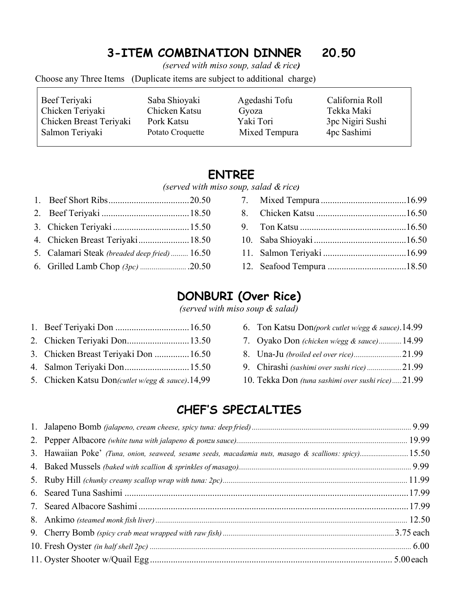## **3-ITEM COMBINATION DINNER 20.50**

*(served with miso soup, salad & rice)*

Choose any Three Items (Duplicate items are subject to additional charge)

| Beef Teriyaki           | Saba Shioyaki    | Agedashi Tofu | California Roll  |
|-------------------------|------------------|---------------|------------------|
| Chicken Teriyaki        | Chicken Katsu    | Gyoza         | Tekka Maki       |
| Chicken Breast Teriyaki | Pork Katsu       | Yaki Tori     | 3pc Nigiri Sushi |
| Salmon Teriyaki         | Potato Croquette | Mixed Tempura | 4pc Sashimi      |
|                         |                  |               |                  |

#### **ENTREE**

*(served with miso soup, salad & rice)*

| 5. Calamari Steak (breaded deep fried)  16.50 |  |
|-----------------------------------------------|--|

 $\Gamma$ 

6. Grilled Lamb Chop *(3pc) ........................* .20.50

#### **DONBURI (Over Rice)**

*(served with miso soup & salad)*

| 3. Chicken Breast Teriyaki Don  16.50 |  |
|---------------------------------------|--|
|                                       |  |

5. Chicken Katsu Don*(cutlet w/egg & sauce)*.14,99

| 6. Ton Katsu Don(pork cutlet w/egg & sauce).14.99 |  |
|---------------------------------------------------|--|
| 7. Oyako Don (chicken w/egg & sauce)14.99         |  |
|                                                   |  |
| 9. Chirashi (sashimi over sushi rice) 21.99       |  |
| 10. Tekka Don (tuna sashimi over sushi rice)21.99 |  |

#### **CHEF'S SPECIALTIES**

| 3. Hawaiian Poke' (Tuna, onion, seaweed, sesame seeds, macadamia nuts, masago & scallions: spicy) 15.50 |  |
|---------------------------------------------------------------------------------------------------------|--|
|                                                                                                         |  |
|                                                                                                         |  |
|                                                                                                         |  |
|                                                                                                         |  |
|                                                                                                         |  |
|                                                                                                         |  |
|                                                                                                         |  |
|                                                                                                         |  |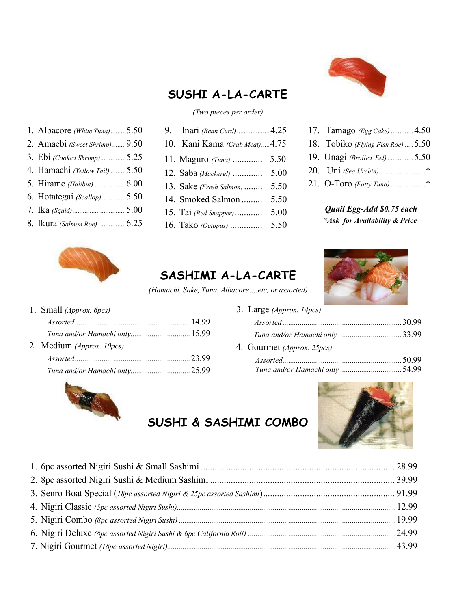## **SUSHI A-LA-CARTE**

#### *(Two pieces per order)*

- 1. Albacore *(White Tuna).........*5.50
- 2. Amaebi *(Sweet Shrimp)........*9.50
- 3. Ebi *(Cooked Shrimp)...............*5.25
- 4. Hamachi *(Yellow Tail) .........*5.50
- 5. Hirame *(Halibut)...................*6.00
- 6. Hotategai *(Scallop)..............*5.50
- 7. Ika *(Squid)...............................*5.00
- 8. Ikura *(Salmon Roe) ................*6.25
- 9. Inari *(Bean Curd)...................*4.25 10. Kani Kama *(Crab Meat).....*4.75 11. Maguro *(Tuna)* ............. 5.50
- 12. Saba *(Mackerel)* ............. 5.00
- 13. Sake *(Fresh Salmon)* ........ 5.50
- 14. Smoked Salmon ......... 5.50
- 15. Tai *(Red Snapper)*............ 5.00
- 16. Tako *(Octopus)* .............. 5.50



- 17. Tamago *(Egg Cake) .............*4.50
- 18. Tobiko *(Flying Fish Roe) .....*5.50
- 19. Unagi *(Broiled Eel) ...............*5.50
- 20. Uni *(Sea Urchin)...........................*\*
- 21. O-Toro *(Fatty Tuna) ....................*\*

*Quail Egg-Add \$0.75 each \*Ask for Availability & Price*



## **SASHIMI A-LA-CARTE**

*(Hamachi, Sake, Tuna, Albacore….etc, or assorted)*

| 1. Small (Approx. 6pcs)        |  |
|--------------------------------|--|
|                                |  |
| Tuna and/or Hamachi only 15.99 |  |
| 2. Medium (Approx. 10 pcs)     |  |
|                                |  |
|                                |  |

| 3. Large (Approx. 14pcs)   |  |
|----------------------------|--|
|                            |  |
|                            |  |
| 4. Gourmet (Approx. 25pcs) |  |
|                            |  |
|                            |  |



### 1. 6pc assorted Nigiri Sushi & Small Sashimi .................................................................................... 28.99 2. 8pc assorted Nigiri Sushi & Medium Sashimi ................................................................................ 39.99 3. Senro Boat Special (*18pc assorted Nigiri & 25pc assorted Sashimi*)......................................................... 91.99 4. Nigiri Classic *(5pc assorted Nigiri Sushi)..................................................................................................................*12.99 5. Nigiri Combo *(8pc assorted Nigiri Sushi) .................................................................................................................*19.99 6. Nigiri Deluxe *(8pc assorted Nigiri Sushi & 6pc California Roll) .............................................................................*24.99 7. Nigiri Gourmet *(18pc assorted Nigiri).......................................................................................................................*43.99

**SUSHI & SASHIMI COMBO**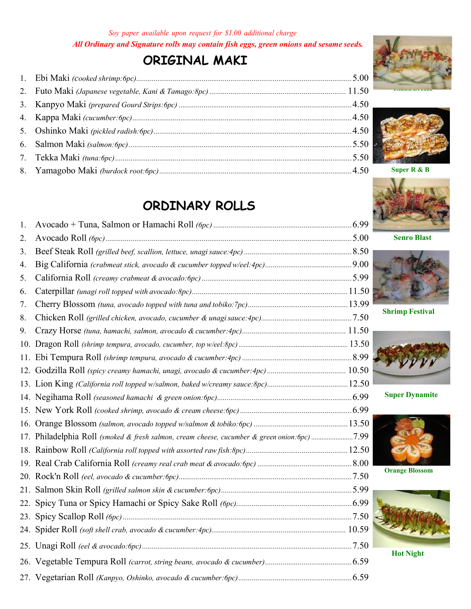*Soy paper available upon request for \$1.00 additional charge All Ordinary and Signature rolls may contain fish eggs, green onions and sesame seeds.*

## **ORIGINAL MAKI**

## **ORDINARY ROLLS**

| 1.  |                                                                                              |                |
|-----|----------------------------------------------------------------------------------------------|----------------|
| 2.  |                                                                                              | Senr           |
| 3.  |                                                                                              |                |
| 4.  |                                                                                              |                |
| 5.  |                                                                                              |                |
| 6.  |                                                                                              |                |
| 7.  |                                                                                              |                |
| 8.  |                                                                                              | <b>Shrimp</b>  |
| 9.  |                                                                                              |                |
| 10. |                                                                                              |                |
| 11. |                                                                                              |                |
| 12. |                                                                                              |                |
|     |                                                                                              |                |
|     |                                                                                              | <b>Super I</b> |
|     |                                                                                              |                |
| 16. |                                                                                              |                |
|     | 17. Philadelphia Roll (smoked & fresh salmon, cream cheese, cucumber & green onion:6pc) 7.99 |                |
|     |                                                                                              |                |
|     |                                                                                              |                |
|     |                                                                                              | <b>Orange</b>  |
| 21. |                                                                                              |                |
| 22. |                                                                                              |                |
| 23. |                                                                                              |                |
|     |                                                                                              |                |
|     |                                                                                              |                |
|     |                                                                                              | Hot I          |
|     |                                                                                              |                |









**Dynamite** 



**Orange Blossom**



**Night** 





**Senro Blast**